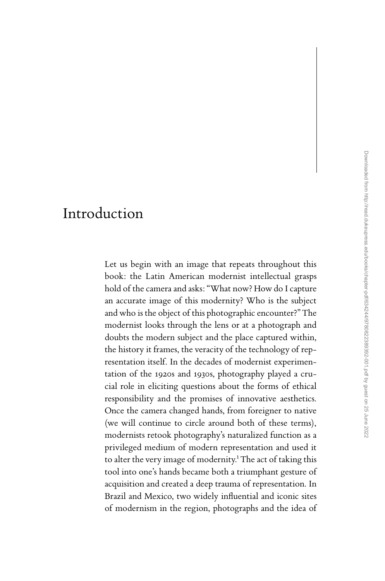## Introduction

Let us begin with an image that repeats throughout this book: the Latin American modernist intellectual grasps hold of the camera and asks: "What now? How do I capture an accurate image of this modernity? Who is the subject and who is the object of this photographic encounter?" The modernist looks through the lens or at a photograph and doubts the modern subject and the place captured within, the history it frames, the veracity of the technology of representation itself. In the decades of modernist experimentation of the 1920s and 1930s, photography played a crucial role in eliciting questions about the forms of ethical responsibility and the promises of innovative aesthetics. Once the camera changed hands, from foreigner to native (we will continue to circle around both of these terms), modernists retook photography's naturalized function as a privileged medium of modern representation and used it to alter the very image of modernity.<sup>1</sup> The act of taking this tool into one's hands became both a triumphant gesture of acquisition and created a deep trauma of representation. In Brazil and Mexico, two widely influential and iconic sites of modernism in the region, photographs and the idea of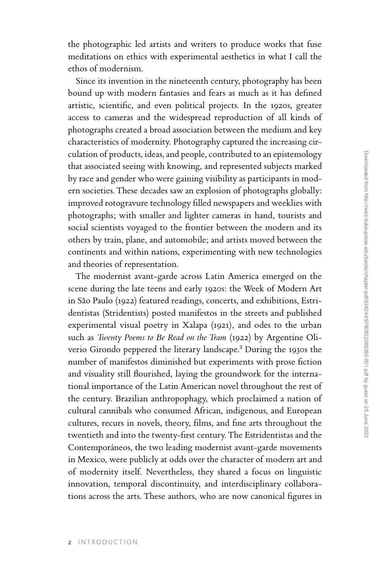the photographic led artists and writers to produce works that fuse meditations on ethics with experimental aesthetics in what I call the ethos of modernism.

Since its invention in the nineteenth century, photography has been bound up with modern fantasies and fears as much as it has defined artistic, scientific, and even political projects. In the 1920s, greater access to cameras and the widespread reproduction of all kinds of photographs created a broad association between the medium and key characteristics of modernity. Photography captured the increasing circulation of products, ideas, and people, contributed to an epistemology that associated seeing with knowing, and represented subjects marked by race and gender who were gaining visibility as participants in modern societies. These decades saw an explosion of photographs globally: improved rotogravure technology filled newspapers and weeklies with photographs; with smaller and lighter cameras in hand, tourists and social scientists voyaged to the frontier between the modern and its others by train, plane, and automobile; and artists moved between the continents and within nations, experimenting with new technologies and theories of representation.

The modernist avant-garde across Latin America emerged on the scene during the late teens and early 1920s: the Week of Modern Art in São Paulo (1922) featured readings, concerts, and exhibitions, Estridentistas (Stridentists) posted manifestos in the streets and published experimental visual poetry in Xalapa (1921), and odes to the urban such as *Twenty Poems to Be Read on the Tram* (1922) by Argentine Oliverio Girondo peppered the literary landscape.2 During the 1930s the number of manifestos diminished but experiments with prose fiction and visuality still flourished, laying the groundwork for the international importance of the Latin American novel throughout the rest of the century. Brazilian anthropophagy, which proclaimed a nation of cultural cannibals who consumed African, indigenous, and European cultures, recurs in novels, theory, films, and fine arts throughout the twentieth and into the twenty-first century. The Estridentistas and the Contemporáneos, the two leading modernist avant-garde movements in Mexico, were publicly at odds over the character of modern art and of modernity itself. Nevertheless, they shared a focus on linguistic innovation, temporal discontinuity, and interdisciplinary collaborations across the arts. These authors, who are now canonical figures in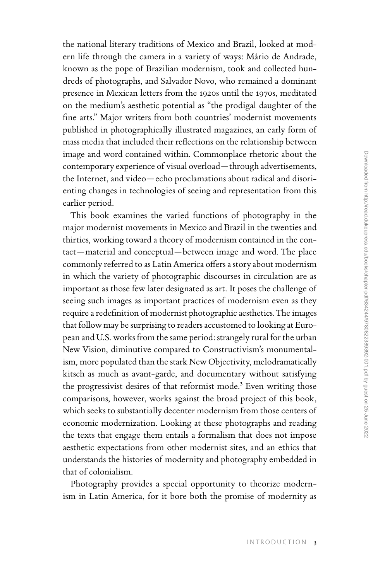the national literary traditions of Mexico and Brazil, looked at modern life through the camera in a variety of ways: Mário de Andrade, known as the pope of Brazilian modernism, took and collected hundreds of photographs, and Salvador Novo, who remained a dominant presence in Mexican letters from the 1920s until the 1970s, meditated on the medium's aesthetic potential as "the prodigal daughter of the fine arts." Major writers from both countries' modernist movements published in photographically illustrated magazines, an early form of mass media that included their reflections on the relationship between image and word contained within. Commonplace rhetoric about the contemporary experience of visual overload—through advertisements, the Internet, and video—echo proclamations about radical and disorienting changes in technologies of seeing and representation from this earlier period.

This book examines the varied functions of photography in the major modernist movements in Mexico and Brazil in the twenties and thirties, working toward a theory of modernism contained in the contact—material and conceptual—between image and word. The place commonly referred to as Latin America offers a story about modernism in which the variety of photographic discourses in circulation are as important as those few later designated as art. It poses the challenge of seeing such images as important practices of modernism even as they require a redefinition of modernist photographic aesthetics. The images that follow may be surprising to readers accustomed to looking at European and U.S. works from the same period: strangely rural for the urban New Vision, diminutive compared to Constructivism's monumentalism, more populated than the stark New Objectivity, melodramatically kitsch as much as avant-garde, and documentary without satisfying the progressivist desires of that reformist mode.<sup>3</sup> Even writing those comparisons, however, works against the broad project of this book, which seeks to substantially decenter modernism from those centers of economic modernization. Looking at these photographs and reading the texts that engage them entails a formalism that does not impose aesthetic expectations from other modernist sites, and an ethics that understands the histories of modernity and photography embedded in that of colonialism.

Photography provides a special opportunity to theorize modernism in Latin America, for it bore both the promise of modernity as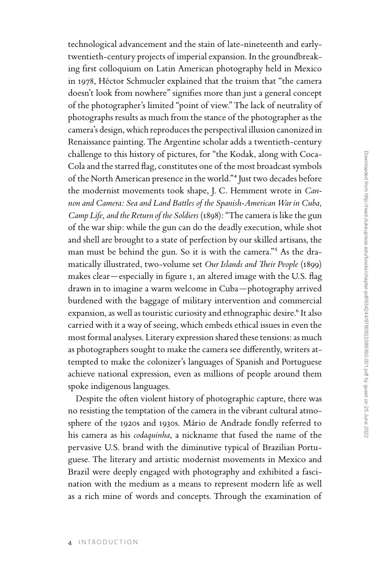technological advancement and the stain of late-nineteenth and earlytwentieth-century projects of imperial expansion. In the groundbreaking first colloquium on Latin American photography held in Mexico in 1978, Héctor Schmucler explained that the truism that "the camera doesn't look from nowhere" signifies more than just a general concept of the photographer's limited "point of view." The lack of neutrality of photographs results as much from the stance of the photographer as the camera's design, which reproduces the perspectival illusion canonized in Renaissance painting. The Argentine scholar adds a twentieth-century challenge to this history of pictures, for "the Kodak, along with Coca-Cola and the starred flag, constitutes one of the most broadcast symbols of the North American presence in the world."4 Just two decades before the modernist movements took shape, J. C. Hemment wrote in *Cannon and Camera: Sea and Land Battles of the Spanish-American War in Cuba, Camp Life, and the Return of the Soldiers* (1898): "The camera is like the gun of the war ship: while the gun can do the deadly execution, while shot and shell are brought to a state of perfection by our skilled artisans, the man must be behind the gun. So it is with the camera."5 As the dramatically illustrated, two-volume set *Our Islands and Their People* (1899) makes clear—especially in figure 1, an altered image with the U.S. flag drawn in to imagine a warm welcome in Cuba—photography arrived burdened with the baggage of military intervention and commercial expansion, as well as touristic curiosity and ethnographic desire.<sup>6</sup> It also carried with it a way of seeing, which embeds ethical issues in even the most formal analyses. Literary expression shared these tensions: as much as photographers sought to make the camera see differently, writers attempted to make the colonizer's languages of Spanish and Portuguese achieve national expression, even as millions of people around them spoke indigenous languages. Despite the often violent history of photographic capture, there was

no resisting the temptation of the camera in the vibrant cultural atmosphere of the 1920s and 1930s. Mário de Andrade fondly referred to his camera as his *codaquinha*, a nickname that fused the name of the pervasive U.S. brand with the diminutive typical of Brazilian Portuguese. The literary and artistic modernist movements in Mexico and Brazil were deeply engaged with photography and exhibited a fascination with the medium as a means to represent modern life as well as a rich mine of words and concepts. Through the examination of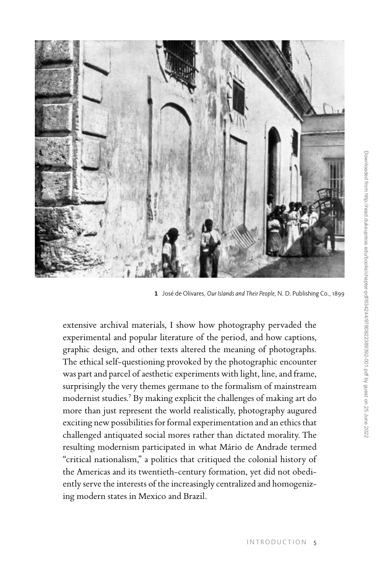

**1** José de Olivares, *Our Islands and Their People*, N. D. Publishing Co., 1899

extensive archival materials, I show how photography pervaded the experimental and popular literature of the period, and how captions, graphic design, and other texts altered the meaning of photographs. The ethical self-questioning provoked by the photographic encounter was part and parcel of aesthetic experiments with light, line, and frame, surprisingly the very themes germane to the formalism of mainstream modernist studies.7 By making explicit the challenges of making art do more than just represent the world realistically, photography augured exciting new possibilities for formal experimentation and an ethics that challenged antiquated social mores rather than dictated morality. The resulting modernism participated in what Mário de Andrade termed "critical nationalism," a politics that critiqued the colonial history of the Americas and its twentieth-century formation, yet did not obediently serve the interests of the increasingly centralized and homogenizing modern states in Mexico and Brazil.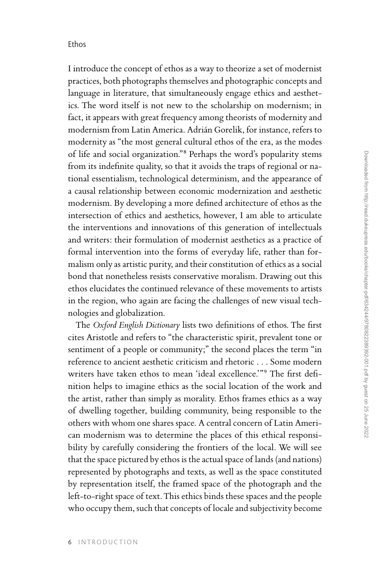I introduce the concept of ethos as a way to theorize a set of modernist practices, both photographs themselves and photographic concepts and language in literature, that simultaneously engage ethics and aesthetics. The word itself is not new to the scholarship on modernism; in fact, it appears with great frequency among theorists of modernity and modernism from Latin America. Adrián Gorelik, for instance, refers to modernity as "the most general cultural ethos of the era, as the modes of life and social organization."8 Perhaps the word's popularity stems from its indefinite quality, so that it avoids the traps of regional or national essentialism, technological determinism, and the appearance of a causal relationship between economic modernization and aesthetic modernism. By developing a more defined architecture of ethos as the intersection of ethics and aesthetics, however, I am able to articulate the interventions and innovations of this generation of intellectuals and writers: their formulation of modernist aesthetics as a practice of formal intervention into the forms of everyday life, rather than formalism only as artistic purity, and their constitution of ethics as a social bond that nonetheless resists conservative moralism. Drawing out this ethos elucidates the continued relevance of these movements to artists in the region, who again are facing the challenges of new visual technologies and globalization.

The *Oxford English Dictionary* lists two definitions of ethos. The first cites Aristotle and refers to "the characteristic spirit, prevalent tone or sentiment of a people or community;" the second places the term "in reference to ancient aesthetic criticism and rhetoric . . . Some modern writers have taken ethos to mean 'ideal excellence.'"9 The first definition helps to imagine ethics as the social location of the work and the artist, rather than simply as morality. Ethos frames ethics as a way of dwelling together, building community, being responsible to the others with whom one shares space. A central concern of Latin American modernism was to determine the places of this ethical responsibility by carefully considering the frontiers of the local. We will see that the space pictured by ethos is the actual space of lands (and nations) represented by photographs and texts, as well as the space constituted by representation itself, the framed space of the photograph and the left-to-right space of text. This ethics binds these spaces and the people who occupy them, such that concepts of locale and subjectivity become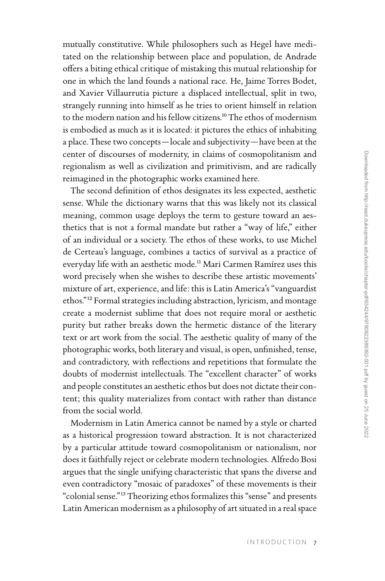mutually constitutive. While philosophers such as Hegel have meditated on the relationship between place and population, de Andrade offers a biting ethical critique of mistaking this mutual relationship for one in which the land founds a national race. He, Jaime Torres Bodet, and Xavier Villaurrutia picture a displaced intellectual, split in two, strangely running into himself as he tries to orient himself in relation to the modern nation and his fellow citizens.10 The ethos of modernism is embodied as much as it is located: it pictures the ethics of inhabiting a place. These two concepts—locale and subjectivity—have been at the center of discourses of modernity, in claims of cosmopolitanism and regionalism as well as civilization and primitivism, and are radically reimagined in the photographic works examined here.

The second definition of ethos designates its less expected, aesthetic sense. While the dictionary warns that this was likely not its classical meaning, common usage deploys the term to gesture toward an aesthetics that is not a formal mandate but rather a "way of life," either of an individual or a society. The ethos of these works, to use Michel de Certeau's language, combines a tactics of survival as a practice of everyday life with an aesthetic mode.<sup>11</sup> Mari Carmen Ramírez uses this word precisely when she wishes to describe these artistic movements' mixture of art, experience, and life: this is Latin America's "vanguardist ethos."12 Formal strategies including abstraction, lyricism, and montage create a modernist sublime that does not require moral or aesthetic purity but rather breaks down the hermetic distance of the literary text or art work from the social. The aesthetic quality of many of the photographic works, both literary and visual, is open, unfinished, tense, and contradictory, with reflections and repetitions that formulate the doubts of modernist intellectuals. The "excellent character" of works and people constitutes an aesthetic ethos but does not dictate their content; this quality materializes from contact with rather than distance from the social world.

Modernism in Latin America cannot be named by a style or charted as a historical progression toward abstraction. It is not characterized by a particular attitude toward cosmopolitanism or nationalism, nor does it faithfully reject or celebrate modern technologies. Alfredo Bosi argues that the single unifying characteristic that spans the diverse and even contradictory "mosaic of paradoxes" of these movements is their "colonial sense."13 Theorizing ethos formalizes this "sense" and presents Latin American modernism as a philosophy of art situated in a real space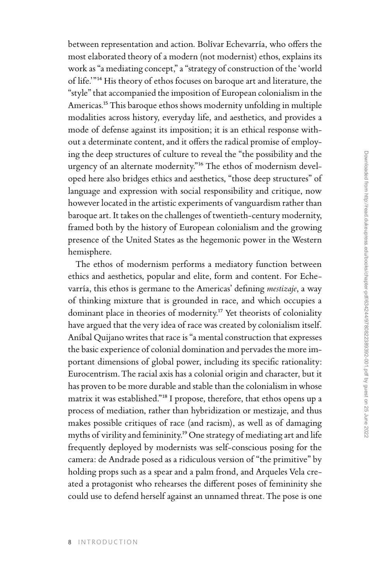between representation and action. Bolívar Echevarría, who offers the most elaborated theory of a modern (not modernist) ethos, explains its work as "a mediating concept," a "strategy of construction of the 'world of life.'"14 His theory of ethos focuses on baroque art and literature, the "style" that accompanied the imposition of European colonialism in the Americas.15 This baroque ethos shows modernity unfolding in multiple modalities across history, everyday life, and aesthetics, and provides a mode of defense against its imposition; it is an ethical response without a determinate content, and it offers the radical promise of employing the deep structures of culture to reveal the "the possibility and the urgency of an alternate modernity."16 The ethos of modernism developed here also bridges ethics and aesthetics, "those deep structures" of language and expression with social responsibility and critique, now however located in the artistic experiments of vanguardism rather than baroque art. It takes on the challenges of twentieth-century modernity, framed both by the history of European colonialism and the growing presence of the United States as the hegemonic power in the Western hemisphere.

The ethos of modernism performs a mediatory function between ethics and aesthetics, popular and elite, form and content. For Echevarría, this ethos is germane to the Americas' defining *mestizaje*, a way of thinking mixture that is grounded in race, and which occupies a dominant place in theories of modernity.<sup>17</sup> Yet theorists of coloniality have argued that the very idea of race was created by colonialism itself. Aníbal Quijano writes that race is "a mental construction that expresses the basic experience of colonial domination and pervades the more important dimensions of global power, including its specific rationality: Eurocentrism. The racial axis has a colonial origin and character, but it has proven to be more durable and stable than the colonialism in whose matrix it was established."18 I propose, therefore, that ethos opens up a process of mediation, rather than hybridization or mestizaje, and thus makes possible critiques of race (and racism), as well as of damaging myths of virility and femininity.19 One strategy of mediating art and life frequently deployed by modernists was self-conscious posing for the camera: de Andrade posed as a ridiculous version of "the primitive" by holding props such as a spear and a palm frond, and Arqueles Vela created a protagonist who rehearses the different poses of femininity she could use to defend herself against an unnamed threat. The pose is one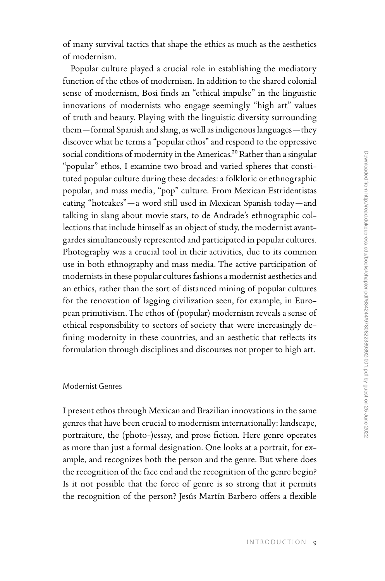of many survival tactics that shape the ethics as much as the aesthetics of modernism.

Popular culture played a crucial role in establishing the mediatory function of the ethos of modernism. In addition to the shared colonial sense of modernism, Bosi finds an "ethical impulse" in the linguistic innovations of modernists who engage seemingly "high art" values of truth and beauty. Playing with the linguistic diversity surrounding them—formal Spanish and slang, as well as indigenous languages—they discover what he terms a "popular ethos" and respond to the oppressive social conditions of modernity in the Americas.<sup>20</sup> Rather than a singular "popular" ethos, I examine two broad and varied spheres that constituted popular culture during these decades: a folkloric or ethnographic popular, and mass media, "pop" culture. From Mexican Estridentistas eating "hotcakes"—a word still used in Mexican Spanish today—and talking in slang about movie stars, to de Andrade's ethnographic collections that include himself as an object of study, the modernist avantgardes simultaneously represented and participated in popular cultures. Photography was a crucial tool in their activities, due to its common use in both ethnography and mass media. The active participation of modernists in these popular cultures fashions a modernist aesthetics and an ethics, rather than the sort of distanced mining of popular cultures for the renovation of lagging civilization seen, for example, in European primitivism. The ethos of (popular) modernism reveals a sense of ethical responsibility to sectors of society that were increasingly defining modernity in these countries, and an aesthetic that reflects its formulation through disciplines and discourses not proper to high art.

## Modernist Genres

I present ethos through Mexican and Brazilian innovations in the same genres that have been crucial to modernism internationally: landscape, portraiture, the (photo-)essay, and prose fiction. Here genre operates as more than just a formal designation. One looks at a portrait, for example, and recognizes both the person and the genre. But where does the recognition of the face end and the recognition of the genre begin? Is it not possible that the force of genre is so strong that it permits the recognition of the person? Jesús Martín Barbero offers a flexible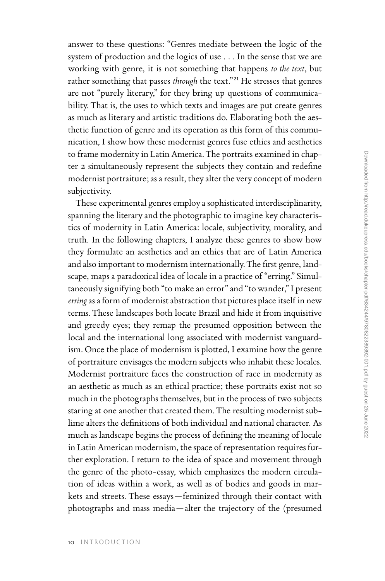answer to these questions: "Genres mediate between the logic of the system of production and the logics of use . . . In the sense that we are working with genre, it is not something that happens *to the text*, but rather something that passes *through* the text."<sup>21</sup> He stresses that genres are not "purely literary," for they bring up questions of communicability. That is, the uses to which texts and images are put create genres as much as literary and artistic traditions do. Elaborating both the aesthetic function of genre and its operation as this form of this communication, I show how these modernist genres fuse ethics and aesthetics to frame modernity in Latin America. The portraits examined in chapter 2 simultaneously represent the subjects they contain and redefine modernist portraiture; as a result, they alter the very concept of modern subjectivity.

These experimental genres employ a sophisticated interdisciplinarity, spanning the literary and the photographic to imagine key characteristics of modernity in Latin America: locale, subjectivity, morality, and truth. In the following chapters, I analyze these genres to show how they formulate an aesthetics and an ethics that are of Latin America and also important to modernism internationally. The first genre, landscape, maps a paradoxical idea of locale in a practice of "erring." Simultaneously signifying both "to make an error" and "to wander," I present *erring* as a form of modernist abstraction that pictures place itself in new terms. These landscapes both locate Brazil and hide it from inquisitive and greedy eyes; they remap the presumed opposition between the local and the international long associated with modernist vanguardism. Once the place of modernism is plotted, I examine how the genre of portraiture envisages the modern subjects who inhabit these locales. Modernist portraiture faces the construction of race in modernity as an aesthetic as much as an ethical practice; these portraits exist not so much in the photographs themselves, but in the process of two subjects staring at one another that created them. The resulting modernist sublime alters the definitions of both individual and national character. As much as landscape begins the process of defining the meaning of locale in Latin American modernism, the space of representation requires further exploration. I return to the idea of space and movement through the genre of the photo-essay, which emphasizes the modern circulation of ideas within a work, as well as of bodies and goods in markets and streets. These essays—feminized through their contact with photographs and mass media—alter the trajectory of the (presumed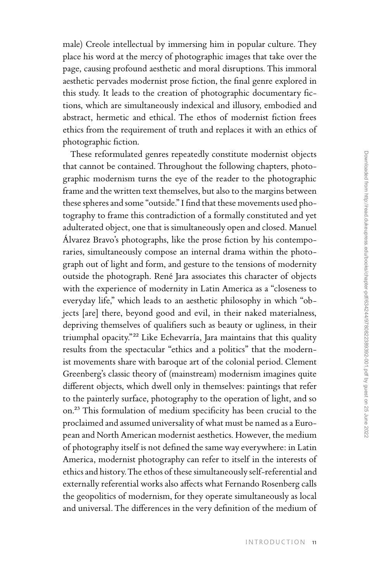male) Creole intellectual by immersing him in popular culture. They place his word at the mercy of photographic images that take over the page, causing profound aesthetic and moral disruptions. This immoral aesthetic pervades modernist prose fiction, the final genre explored in this study. It leads to the creation of photographic documentary fictions, which are simultaneously indexical and illusory, embodied and abstract, hermetic and ethical. The ethos of modernist fiction frees ethics from the requirement of truth and replaces it with an ethics of photographic fiction.

These reformulated genres repeatedly constitute modernist objects that cannot be contained. Throughout the following chapters, photographic modernism turns the eye of the reader to the photographic frame and the written text themselves, but also to the margins between these spheres and some "outside." I find that these movements used photography to frame this contradiction of a formally constituted and yet adulterated object, one that is simultaneously open and closed. Manuel Álvarez Bravo's photographs, like the prose fiction by his contemporaries, simultaneously compose an internal drama within the photograph out of light and form, and gesture to the tensions of modernity outside the photograph. René Jara associates this character of objects with the experience of modernity in Latin America as a "closeness to everyday life," which leads to an aesthetic philosophy in which "objects [are] there, beyond good and evil, in their naked materialness, depriving themselves of qualifiers such as beauty or ugliness, in their triumphal opacity."22 Like Echevarría, Jara maintains that this quality results from the spectacular "ethics and a politics" that the modernist movements share with baroque art of the colonial period. Clement Greenberg's classic theory of (mainstream) modernism imagines quite different objects, which dwell only in themselves: paintings that refer to the painterly surface, photography to the operation of light, and so on.23 This formulation of medium specificity has been crucial to the proclaimed and assumed universality of what must be named as a European and North American modernist aesthetics. However, the medium of photography itself is not defined the same way everywhere: in Latin America, modernist photography can refer to itself in the interests of ethics and history. The ethos of these simultaneously self-referential and externally referential works also affects what Fernando Rosenberg calls the geopolitics of modernism, for they operate simultaneously as local and universal. The differences in the very definition of the medium of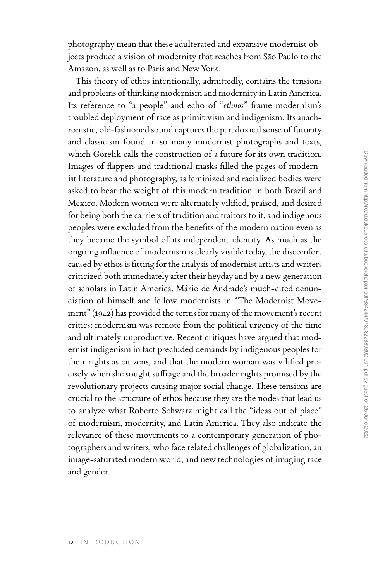photography mean that these adulterated and expansive modernist objects produce a vision of modernity that reaches from São Paulo to the Amazon, as well as to Paris and New York.

This theory of ethos intentionally, admittedly, contains the tensions and problems of thinking modernism and modernity in Latin America. Its reference to "a people" and echo of "*ethnos*" frame modernism's troubled deployment of race as primitivism and indigenism. Its anachronistic, old-fashioned sound captures the paradoxical sense of futurity and classicism found in so many modernist photographs and texts, which Gorelik calls the construction of a future for its own tradition. Images of flappers and traditional masks filled the pages of modernist literature and photography, as feminized and racialized bodies were asked to bear the weight of this modern tradition in both Brazil and Mexico. Modern women were alternately vilified, praised, and desired for being both the carriers of tradition and traitors to it, and indigenous peoples were excluded from the benefits of the modern nation even as they became the symbol of its independent identity. As much as the ongoing influence of modernism is clearly visible today, the discomfort caused by ethos is fitting for the analysis of modernist artists and writers criticized both immediately after their heyday and by a new generation of scholars in Latin America. Mário de Andrade's much-cited denunciation of himself and fellow modernists in "The Modernist Movement" (1942) has provided the terms for many of the movement's recent critics: modernism was remote from the political urgency of the time and ultimately unproductive. Recent critiques have argued that modernist indigenism in fact precluded demands by indigenous peoples for their rights as citizens, and that the modern woman was vilified precisely when she sought suffrage and the broader rights promised by the revolutionary projects causing major social change. These tensions are crucial to the structure of ethos because they are the nodes that lead us to analyze what Roberto Schwarz might call the "ideas out of place" of modernism, modernity, and Latin America. They also indicate the relevance of these movements to a contemporary generation of photographers and writers, who face related challenges of globalization, an image-saturated modern world, and new technologies of imaging race and gender.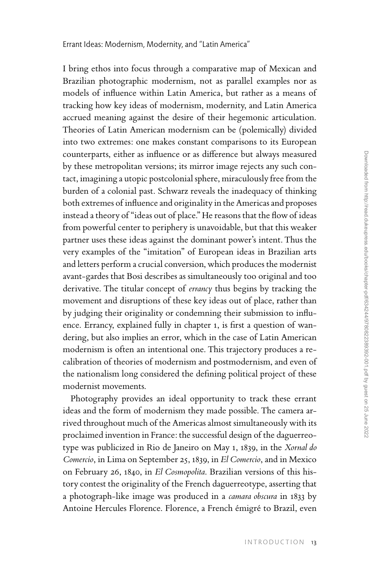I bring ethos into focus through a comparative map of Mexican and Brazilian photographic modernism, not as parallel examples nor as models of influence within Latin America, but rather as a means of tracking how key ideas of modernism, modernity, and Latin America accrued meaning against the desire of their hegemonic articulation. Theories of Latin American modernism can be (polemically) divided into two extremes: one makes constant comparisons to its European counterparts, either as influence or as difference but always measured by these metropolitan versions; its mirror image rejects any such contact, imagining a utopic postcolonial sphere, miraculously free from the burden of a colonial past. Schwarz reveals the inadequacy of thinking both extremes of influence and originality in the Americas and proposes instead a theory of "ideas out of place." He reasons that the flow of ideas from powerful center to periphery is unavoidable, but that this weaker partner uses these ideas against the dominant power's intent. Thus the very examples of the "imitation" of European ideas in Brazilian arts and letters perform a crucial conversion, which produces the modernist avant-gardes that Bosi describes as simultaneously too original and too derivative. The titular concept of *errancy* thus begins by tracking the movement and disruptions of these key ideas out of place, rather than by judging their originality or condemning their submission to influence. Errancy, explained fully in chapter 1, is first a question of wandering, but also implies an error, which in the case of Latin American modernism is often an intentional one. This trajectory produces a recalibration of theories of modernism and postmodernism, and even of the nationalism long considered the defining political project of these modernist movements.

Photography provides an ideal opportunity to track these errant ideas and the form of modernism they made possible. The camera arrived throughout much of the Americas almost simultaneously with its proclaimed invention in France: the successful design of the daguerreotype was publicized in Rio de Janeiro on May 1, 1839, in the *Xornal do Comercio*, in Lima on September 25, 1839, in *El Comercio*, and in Mexico on February 26, 1840, in *El Cosmopolita*. Brazilian versions of this history contest the originality of the French daguerreotype, asserting that a photograph-like image was produced in a *camara obscura* in 1833 by Antoine Hercules Florence. Florence, a French émigré to Brazil, even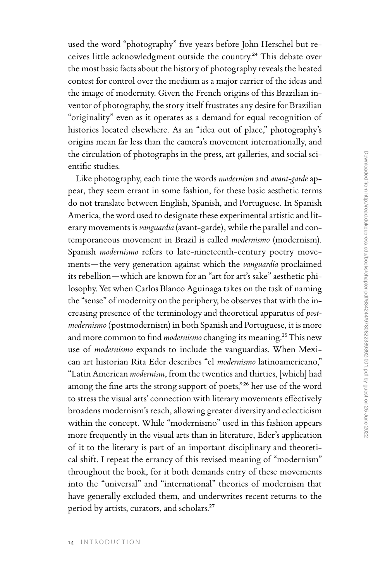used the word "photography" five years before John Herschel but receives little acknowledgment outside the country.<sup>24</sup> This debate over the most basic facts about the history of photography reveals the heated contest for control over the medium as a major carrier of the ideas and the image of modernity. Given the French origins of this Brazilian inventor of photography, the story itself frustrates any desire for Brazilian "originality" even as it operates as a demand for equal recognition of histories located elsewhere. As an "idea out of place," photography's origins mean far less than the camera's movement internationally, and the circulation of photographs in the press, art galleries, and social scientific studies.

Like photography, each time the words *modernism* and *avant-garde* appear, they seem errant in some fashion, for these basic aesthetic terms do not translate between English, Spanish, and Portuguese. In Spanish America, the word used to designate these experimental artistic and literary movements is *vanguardia* (avant-garde), while the parallel and contemporaneous movement in Brazil is called *modernismo* (modernism). Spanish *modernismo* refers to late-nineteenth-century poetry movements—the very generation against which the *vanguardia* proclaimed its rebellion—which are known for an "art for art's sake" aesthetic philosophy. Yet when Carlos Blanco Aguinaga takes on the task of naming the "sense" of modernity on the periphery, he observes that with the increasing presence of the terminology and theoretical apparatus of *postmodernismo* (postmodernism) in both Spanish and Portuguese, it is more and more common to find *modernismo* changing its meaning.25 This new use of *modernismo* expands to include the vanguardias. When Mexican art historian Rita Eder describes "el *modernismo* latinoamericano," "Latin American *modernism*, from the twenties and thirties, [which] had among the fine arts the strong support of poets,"<sup>26</sup> her use of the word to stress the visual arts' connection with literary movements effectively broadens modernism's reach, allowing greater diversity and eclecticism within the concept. While "modernismo" used in this fashion appears more frequently in the visual arts than in literature, Eder's application of it to the literary is part of an important disciplinary and theoretical shift. I repeat the errancy of this revised meaning of "modernism" throughout the book, for it both demands entry of these movements into the "universal" and "international" theories of modernism that have generally excluded them, and underwrites recent returns to the period by artists, curators, and scholars.27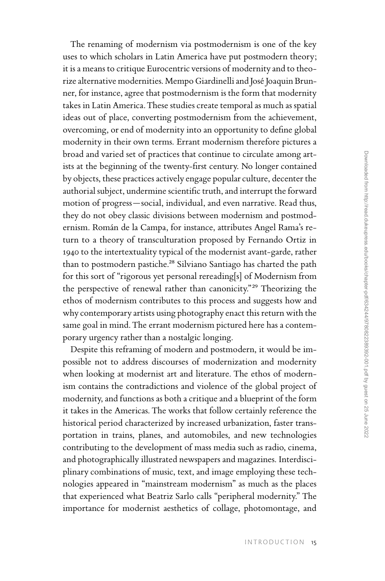The renaming of modernism via postmodernism is one of the key uses to which scholars in Latin America have put postmodern theory; it is a means to critique Eurocentric versions of modernity and to theorize alternative modernities. Mempo Giardinelli and José Joaquin Brunner, for instance, agree that postmodernism is the form that modernity takes in Latin America. These studies create temporal as much as spatial ideas out of place, converting postmodernism from the achievement, overcoming, or end of modernity into an opportunity to define global modernity in their own terms. Errant modernism therefore pictures a broad and varied set of practices that continue to circulate among artists at the beginning of the twenty-first century. No longer contained by objects, these practices actively engage popular culture, decenter the authorial subject, undermine scientific truth, and interrupt the forward motion of progress—social, individual, and even narrative. Read thus, they do not obey classic divisions between modernism and postmodernism. Román de la Campa, for instance, attributes Angel Rama's return to a theory of transculturation proposed by Fernando Ortiz in 1940 to the intertextuality typical of the modernist avant-garde, rather than to postmodern pastiche.<sup>28</sup> Silviano Santiago has charted the path for this sort of "rigorous yet personal rereading[s] of Modernism from the perspective of renewal rather than canonicity."29 Theorizing the ethos of modernism contributes to this process and suggests how and why contemporary artists using photography enact this return with the same goal in mind. The errant modernism pictured here has a contemporary urgency rather than a nostalgic longing.

Despite this reframing of modern and postmodern, it would be impossible not to address discourses of modernization and modernity when looking at modernist art and literature. The ethos of modernism contains the contradictions and violence of the global project of modernity, and functions as both a critique and a blueprint of the form it takes in the Americas. The works that follow certainly reference the historical period characterized by increased urbanization, faster transportation in trains, planes, and automobiles, and new technologies contributing to the development of mass media such as radio, cinema, and photographically illustrated newspapers and magazines. Interdisciplinary combinations of music, text, and image employing these technologies appeared in "mainstream modernism" as much as the places that experienced what Beatriz Sarlo calls "peripheral modernity." The importance for modernist aesthetics of collage, photomontage, and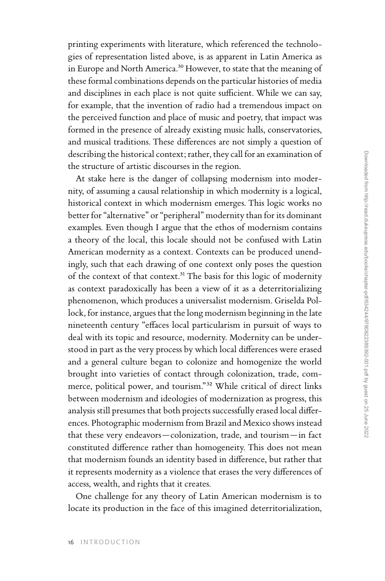printing experiments with literature, which referenced the technologies of representation listed above, is as apparent in Latin America as in Europe and North America.<sup>30</sup> However, to state that the meaning of these formal combinations depends on the particular histories of media and disciplines in each place is not quite sufficient. While we can say, for example, that the invention of radio had a tremendous impact on the perceived function and place of music and poetry, that impact was formed in the presence of already existing music halls, conservatories, and musical traditions. These differences are not simply a question of describing the historical context; rather, they call for an examination of the structure of artistic discourses in the region.

At stake here is the danger of collapsing modernism into modernity, of assuming a causal relationship in which modernity is a logical, historical context in which modernism emerges. This logic works no better for "alternative" or "peripheral" modernity than for its dominant examples. Even though I argue that the ethos of modernism contains a theory of the local, this locale should not be confused with Latin American modernity as a context. Contexts can be produced unendingly, such that each drawing of one context only poses the question of the context of that context.<sup>31</sup> The basis for this logic of modernity as context paradoxically has been a view of it as a deterritorializing phenomenon, which produces a universalist modernism. Griselda Pollock, for instance, argues that the long modernism beginning in the late nineteenth century "effaces local particularism in pursuit of ways to deal with its topic and resource, modernity. Modernity can be understood in part as the very process by which local differences were erased and a general culture began to colonize and homogenize the world brought into varieties of contact through colonization, trade, commerce, political power, and tourism."32 While critical of direct links between modernism and ideologies of modernization as progress, this analysis still presumes that both projects successfully erased local differences. Photographic modernism from Brazil and Mexico shows instead that these very endeavors—colonization, trade, and tourism—in fact constituted difference rather than homogeneity. This does not mean that modernism founds an identity based in difference, but rather that it represents modernity as a violence that erases the very differences of access, wealth, and rights that it creates.

One challenge for any theory of Latin American modernism is to locate its production in the face of this imagined deterritorialization,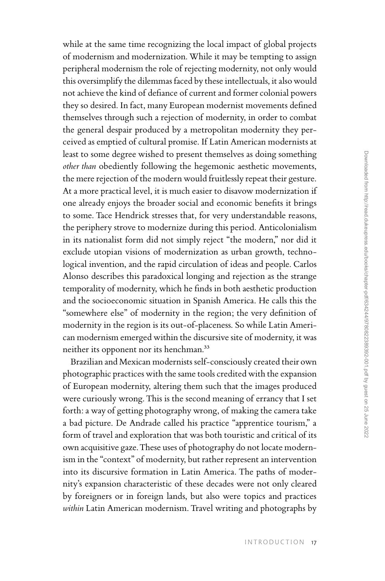while at the same time recognizing the local impact of global projects of modernism and modernization. While it may be tempting to assign peripheral modernism the role of rejecting modernity, not only would this oversimplify the dilemmas faced by these intellectuals, it also would not achieve the kind of defiance of current and former colonial powers they so desired. In fact, many European modernist movements defined themselves through such a rejection of modernity, in order to combat the general despair produced by a metropolitan modernity they perceived as emptied of cultural promise. If Latin American modernists at least to some degree wished to present themselves as doing something *other than* obediently following the hegemonic aesthetic movements, the mere rejection of the modern would fruitlessly repeat their gesture. At a more practical level, it is much easier to disavow modernization if one already enjoys the broader social and economic benefits it brings to some. Tace Hendrick stresses that, for very understandable reasons, the periphery strove to modernize during this period. Anticolonialism in its nationalist form did not simply reject "the modern," nor did it exclude utopian visions of modernization as urban growth, technological invention, and the rapid circulation of ideas and people. Carlos Alonso describes this paradoxical longing and rejection as the strange temporality of modernity, which he finds in both aesthetic production and the socioeconomic situation in Spanish America. He calls this the "somewhere else" of modernity in the region; the very definition of modernity in the region is its out-of-placeness. So while Latin American modernism emerged within the discursive site of modernity, it was neither its opponent nor its henchman.33

Brazilian and Mexican modernists self-consciously created their own photographic practices with the same tools credited with the expansion of European modernity, altering them such that the images produced were curiously wrong. This is the second meaning of errancy that I set forth: a way of getting photography wrong, of making the camera take a bad picture. De Andrade called his practice "apprentice tourism," a form of travel and exploration that was both touristic and critical of its own acquisitive gaze. These uses of photography do not locate modernism in the "context" of modernity, but rather represent an intervention into its discursive formation in Latin America. The paths of modernity's expansion characteristic of these decades were not only cleared by foreigners or in foreign lands, but also were topics and practices *within* Latin American modernism. Travel writing and photographs by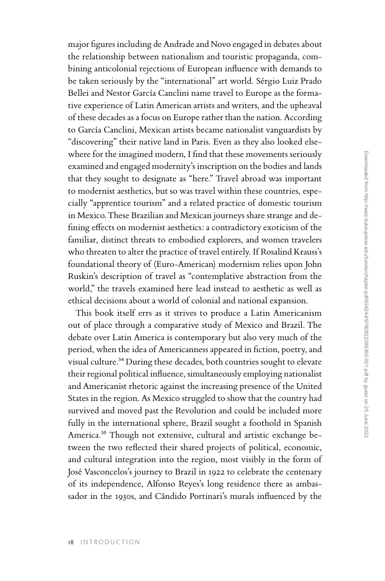major figures including de Andrade and Novo engaged in debates about the relationship between nationalism and touristic propaganda, combining anticolonial rejections of European influence with demands to be taken seriously by the "international" art world. Sérgio Luiz Prado Bellei and Nestor García Canclini name travel to Europe as the formative experience of Latin American artists and writers, and the upheaval of these decades as a focus on Europe rather than the nation. According to García Canclini, Mexican artists became nationalist vanguardists by "discovering" their native land in Paris. Even as they also looked elsewhere for the imagined modern, I find that these movements seriously examined and engaged modernity's inscription on the bodies and lands that they sought to designate as "here." Travel abroad was important to modernist aesthetics, but so was travel within these countries, especially "apprentice tourism" and a related practice of domestic tourism in Mexico. These Brazilian and Mexican journeys share strange and defining effects on modernist aesthetics: a contradictory exoticism of the familiar, distinct threats to embodied explorers, and women travelers who threaten to alter the practice of travel entirely. If Rosalind Krauss's foundational theory of (Euro-American) modernism relies upon John Ruskin's description of travel as "contemplative abstraction from the world," the travels examined here lead instead to aesthetic as well as ethical decisions about a world of colonial and national expansion.

This book itself errs as it strives to produce a Latin Americanism out of place through a comparative study of Mexico and Brazil. The debate over Latin America is contemporary but also very much of the period, when the idea of Americanness appeared in fiction, poetry, and visual culture.34 During these decades, both countries sought to elevate their regional political influence, simultaneously employing nationalist and Americanist rhetoric against the increasing presence of the United States in the region. As Mexico struggled to show that the country had survived and moved past the Revolution and could be included more fully in the international sphere, Brazil sought a foothold in Spanish America.<sup>35</sup> Though not extensive, cultural and artistic exchange between the two reflected their shared projects of political, economic, and cultural integration into the region, most visibly in the form of José Vasconcelos's journey to Brazil in 1922 to celebrate the centenary of its independence, Alfonso Reyes's long residence there as ambassador in the 1930s, and Cândido Portinari's murals influenced by the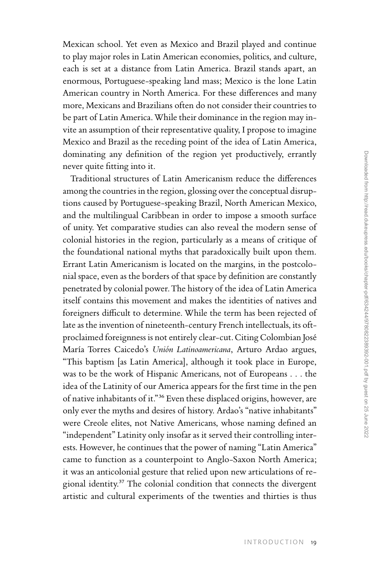Mexican school. Yet even as Mexico and Brazil played and continue to play major roles in Latin American economies, politics, and culture, each is set at a distance from Latin America. Brazil stands apart, an enormous, Portuguese-speaking land mass; Mexico is the lone Latin American country in North America. For these differences and many more, Mexicans and Brazilians often do not consider their countries to be part of Latin America. While their dominance in the region may invite an assumption of their representative quality, I propose to imagine Mexico and Brazil as the receding point of the idea of Latin America, dominating any definition of the region yet productively, errantly never quite fitting into it.

Traditional structures of Latin Americanism reduce the differences among the countries in the region, glossing over the conceptual disruptions caused by Portuguese-speaking Brazil, North American Mexico, and the multilingual Caribbean in order to impose a smooth surface of unity. Yet comparative studies can also reveal the modern sense of colonial histories in the region, particularly as a means of critique of the foundational national myths that paradoxically built upon them. Errant Latin Americanism is located on the margins, in the postcolonial space, even as the borders of that space by definition are constantly penetrated by colonial power. The history of the idea of Latin America itself contains this movement and makes the identities of natives and foreigners difficult to determine. While the term has been rejected of late as the invention of nineteenth-century French intellectuals, its oftproclaimed foreignness is not entirely clear-cut. Citing Colombian José María Torres Caicedo's *Unión Latinoamericana*, Arturo Ardao argues, "This baptism [as Latin America], although it took place in Europe, was to be the work of Hispanic Americans, not of Europeans . . . the idea of the Latinity of our America appears for the first time in the pen of native inhabitants of it."36 Even these displaced origins, however, are only ever the myths and desires of history. Ardao's "native inhabitants" were Creole elites, not Native Americans, whose naming defined an "independent" Latinity only insofar as it served their controlling interests. However, he continues that the power of naming "Latin America" came to function as a counterpoint to Anglo-Saxon North America; it was an anticolonial gesture that relied upon new articulations of regional identity.37 The colonial condition that connects the divergent artistic and cultural experiments of the twenties and thirties is thus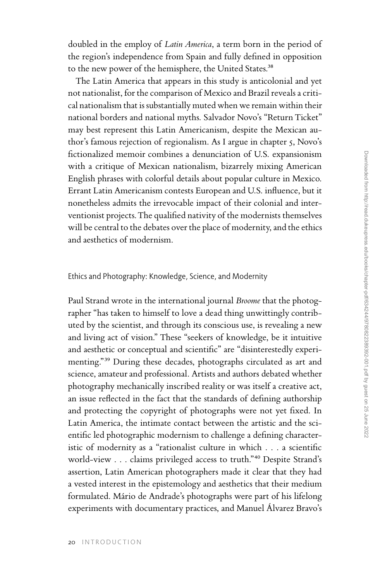doubled in the employ of *Latin America*, a term born in the period of the region's independence from Spain and fully defined in opposition to the new power of the hemisphere, the United States.<sup>38</sup>

The Latin America that appears in this study is anticolonial and yet not nationalist, for the comparison of Mexico and Brazil reveals a critical nationalism that is substantially muted when we remain within their national borders and national myths. Salvador Novo's "Return Ticket" may best represent this Latin Americanism, despite the Mexican author's famous rejection of regionalism. As I argue in chapter 5, Novo's fictionalized memoir combines a denunciation of U.S. expansionism with a critique of Mexican nationalism, bizarrely mixing American English phrases with colorful details about popular culture in Mexico. Errant Latin Americanism contests European and U.S. influence, but it nonetheless admits the irrevocable impact of their colonial and interventionist projects. The qualified nativity of the modernists themselves will be central to the debates over the place of modernity, and the ethics and aesthetics of modernism.

## Ethics and Photography: Knowledge, Science, and Modernity

Paul Strand wrote in the international journal *Broome* that the photographer "has taken to himself to love a dead thing unwittingly contributed by the scientist, and through its conscious use, is revealing a new and living act of vision." These "seekers of knowledge, be it intuitive and aesthetic or conceptual and scientific" are "disinterestedly experimenting."39 During these decades, photographs circulated as art and science, amateur and professional. Artists and authors debated whether photography mechanically inscribed reality or was itself a creative act, an issue reflected in the fact that the standards of defining authorship and protecting the copyright of photographs were not yet fixed. In Latin America, the intimate contact between the artistic and the scientific led photographic modernism to challenge a defining characteristic of modernity as a "rationalist culture in which . . . a scientific world-view . . . claims privileged access to truth."40 Despite Strand's assertion, Latin American photographers made it clear that they had a vested interest in the epistemology and aesthetics that their medium formulated. Mário de Andrade's photographs were part of his lifelong experiments with documentary practices, and Manuel Álvarez Bravo's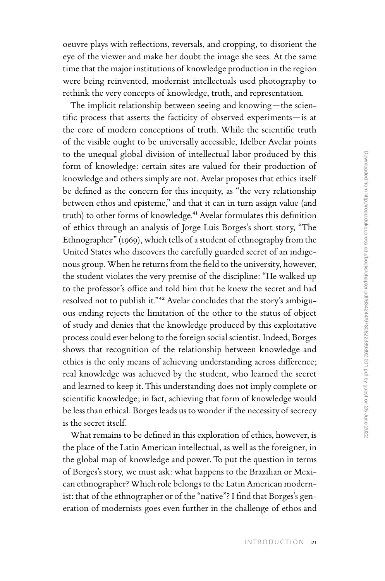oeuvre plays with reflections, reversals, and cropping, to disorient the eye of the viewer and make her doubt the image she sees. At the same time that the major institutions of knowledge production in the region were being reinvented, modernist intellectuals used photography to rethink the very concepts of knowledge, truth, and representation.

The implicit relationship between seeing and knowing—the scientific process that asserts the facticity of observed experiments—is at the core of modern conceptions of truth. While the scientific truth of the visible ought to be universally accessible, Idelber Avelar points to the unequal global division of intellectual labor produced by this form of knowledge: certain sites are valued for their production of knowledge and others simply are not. Avelar proposes that ethics itself be defined as the concern for this inequity, as "the very relationship between ethos and episteme," and that it can in turn assign value (and truth) to other forms of knowledge.<sup>41</sup> Avelar formulates this definition of ethics through an analysis of Jorge Luis Borges's short story, "The Ethnographer" (1969), which tells of a student of ethnography from the United States who discovers the carefully guarded secret of an indigenous group. When he returns from the field to the university, however, the student violates the very premise of the discipline: "He walked up to the professor's office and told him that he knew the secret and had resolved not to publish it."42 Avelar concludes that the story's ambiguous ending rejects the limitation of the other to the status of object of study and denies that the knowledge produced by this exploitative process could ever belong to the foreign social scientist. Indeed, Borges shows that recognition of the relationship between knowledge and ethics is the only means of achieving understanding across difference; real knowledge was achieved by the student, who learned the secret and learned to keep it. This understanding does not imply complete or scientific knowledge; in fact, achieving that form of knowledge would be less than ethical. Borges leads us to wonder if the necessity of secrecy is the secret itself.

What remains to be defined in this exploration of ethics, however, is the place of the Latin American intellectual, as well as the foreigner, in the global map of knowledge and power. To put the question in terms of Borges's story, we must ask: what happens to the Brazilian or Mexican ethnographer? Which role belongs to the Latin American modernist: that of the ethnographer or of the "native"? I find that Borges's generation of modernists goes even further in the challenge of ethos and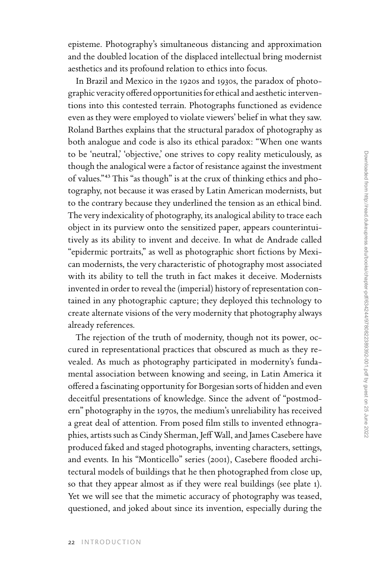episteme. Photography's simultaneous distancing and approximation and the doubled location of the displaced intellectual bring modernist aesthetics and its profound relation to ethics into focus.

In Brazil and Mexico in the 1920s and 1930s, the paradox of photographic veracity offered opportunities for ethical and aesthetic interventions into this contested terrain. Photographs functioned as evidence even as they were employed to violate viewers' belief in what they saw. Roland Barthes explains that the structural paradox of photography as both analogue and code is also its ethical paradox: "When one wants to be 'neutral,' 'objective,' one strives to copy reality meticulously, as though the analogical were a factor of resistance against the investment of values."43 This "as though" is at the crux of thinking ethics and photography, not because it was erased by Latin American modernists, but to the contrary because they underlined the tension as an ethical bind. The very indexicality of photography, its analogical ability to trace each object in its purview onto the sensitized paper, appears counterintuitively as its ability to invent and deceive. In what de Andrade called "epidermic portraits," as well as photographic short fictions by Mexican modernists, the very characteristic of photography most associated with its ability to tell the truth in fact makes it deceive. Modernists invented in order to reveal the (imperial) history of representation contained in any photographic capture; they deployed this technology to create alternate visions of the very modernity that photography always already references.

The rejection of the truth of modernity, though not its power, occured in representational practices that obscured as much as they revealed. As much as photography participated in modernity's fundamental association between knowing and seeing, in Latin America it offered a fascinating opportunity for Borgesian sorts of hidden and even deceitful presentations of knowledge. Since the advent of "postmodern" photography in the 1970s, the medium's unreliability has received a great deal of attention. From posed film stills to invented ethnographies, artists such as Cindy Sherman, Jeff Wall, and James Casebere have produced faked and staged photographs, inventing characters, settings, and events. In his "Monticello" series (2001), Casebere flooded architectural models of buildings that he then photographed from close up, so that they appear almost as if they were real buildings (see plate 1). Yet we will see that the mimetic accuracy of photography was teased, questioned, and joked about since its invention, especially during the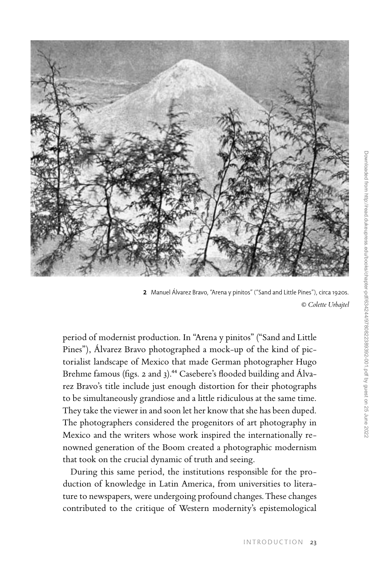

**2** Manuel Álvarez Bravo, "Arena y pinitos" ("Sand and Little Pines"), circa 1920s. © *Colette Urbajtel*

period of modernist production. In "Arena y pinitos" ("Sand and Little Pines"), Álvarez Bravo photographed a mock-up of the kind of pictorialist landscape of Mexico that made German photographer Hugo Brehme famous (figs. 2 and 3).<sup>44</sup> Casebere's flooded building and Álvarez Bravo's title include just enough distortion for their photographs to be simultaneously grandiose and a little ridiculous at the same time. They take the viewer in and soon let her know that she has been duped. The photographers considered the progenitors of art photography in Mexico and the writers whose work inspired the internationally renowned generation of the Boom created a photographic modernism that took on the crucial dynamic of truth and seeing.

During this same period, the institutions responsible for the production of knowledge in Latin America, from universities to literature to newspapers, were undergoing profound changes. These changes contributed to the critique of Western modernity's epistemological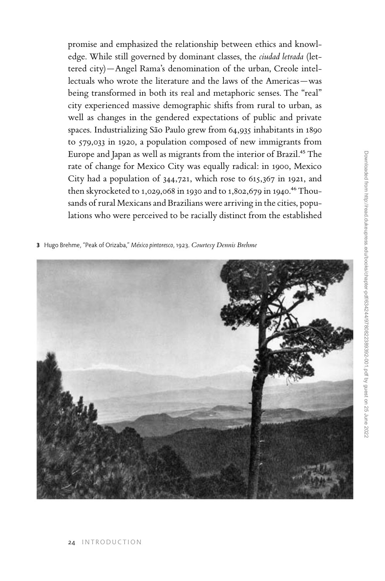promise and emphasized the relationship between ethics and knowledge. While still governed by dominant classes, the *ciudad letrada* (lettered city)—Angel Rama's denomination of the urban, Creole intellectuals who wrote the literature and the laws of the Americas—was being transformed in both its real and metaphoric senses. The "real" city experienced massive demographic shifts from rural to urban, as well as changes in the gendered expectations of public and private spaces. Industrializing São Paulo grew from 64,935 inhabitants in 1890 to 579,033 in 1920, a population composed of new immigrants from Europe and Japan as well as migrants from the interior of Brazil.45 The rate of change for Mexico City was equally radical: in 1900, Mexico City had a population of 344,721, which rose to 615,367 in 1921, and then skyrocketed to 1,029,068 in 1930 and to 1,802,679 in 1940.<sup>46</sup> Thousands of rural Mexicans and Brazilians were arriving in the cities, populations who were perceived to be racially distinct from the established

**3** Hugo Brehme, "Peak of Orizaba," *México pintoresco*, 1923. *Courtesy Dennis Brehme*

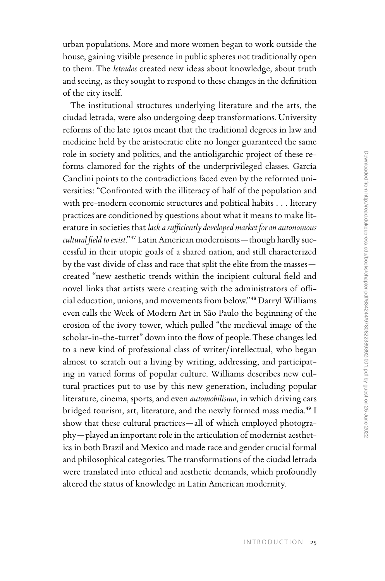The institutional structures underlying literature and the arts, the ciudad letrada, were also undergoing deep transformations. University reforms of the late 1910s meant that the traditional degrees in law and medicine held by the aristocratic elite no longer guaranteed the same role in society and politics, and the antioligarchic project of these reforms clamored for the rights of the underprivileged classes. García Canclini points to the contradictions faced even by the reformed universities: "Confronted with the illiteracy of half of the population and with pre-modern economic structures and political habits . . . literary practices are conditioned by questions about what it means to make literature in societies that *lack a sufficiently developed market for an autonomous cultural field to exist*."47 Latin American modernisms—though hardly successful in their utopic goals of a shared nation, and still characterized by the vast divide of class and race that split the elite from the masses created "new aesthetic trends within the incipient cultural field and novel links that artists were creating with the administrators of official education, unions, and movements from below."48 Darryl Williams even calls the Week of Modern Art in São Paulo the beginning of the erosion of the ivory tower, which pulled "the medieval image of the scholar-in-the-turret" down into the flow of people. These changes led to a new kind of professional class of writer/intellectual, who began almost to scratch out a living by writing, addressing, and participating in varied forms of popular culture. Williams describes new cultural practices put to use by this new generation, including popular literature, cinema, sports, and even *automobilismo*, in which driving cars bridged tourism, art, literature, and the newly formed mass media.<sup>49</sup> I show that these cultural practices—all of which employed photography—played an important role in the articulation of modernist aesthetics in both Brazil and Mexico and made race and gender crucial formal and philosophical categories. The transformations of the ciudad letrada were translated into ethical and aesthetic demands, which profoundly altered the status of knowledge in Latin American modernity.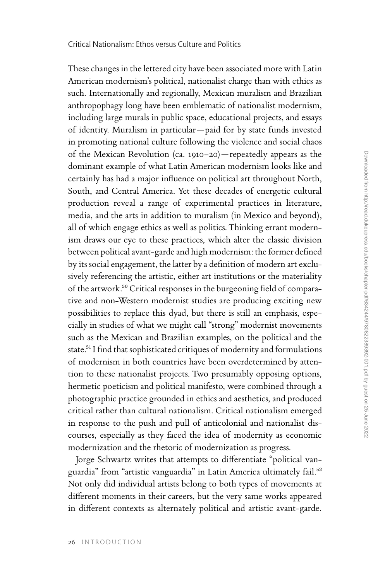These changes in the lettered city have been associated more with Latin American modernism's political, nationalist charge than with ethics as such. Internationally and regionally, Mexican muralism and Brazilian anthropophagy long have been emblematic of nationalist modernism, including large murals in public space, educational projects, and essays of identity. Muralism in particular—paid for by state funds invested in promoting national culture following the violence and social chaos of the Mexican Revolution (ca. 1910–20)—repeatedly appears as the dominant example of what Latin American modernism looks like and certainly has had a major influence on political art throughout North, South, and Central America. Yet these decades of energetic cultural production reveal a range of experimental practices in literature, media, and the arts in addition to muralism (in Mexico and beyond), all of which engage ethics as well as politics. Thinking errant modernism draws our eye to these practices, which alter the classic division between political avant-garde and high modernism: the former defined by its social engagement, the latter by a definition of modern art exclusively referencing the artistic, either art institutions or the materiality of the artwork.50 Critical responses in the burgeoning field of comparative and non-Western modernist studies are producing exciting new possibilities to replace this dyad, but there is still an emphasis, especially in studies of what we might call "strong" modernist movements such as the Mexican and Brazilian examples, on the political and the state.51 I find that sophisticated critiques of modernity and formulations of modernism in both countries have been overdetermined by attention to these nationalist projects. Two presumably opposing options, hermetic poeticism and political manifesto, were combined through a photographic practice grounded in ethics and aesthetics, and produced critical rather than cultural nationalism. Critical nationalism emerged in response to the push and pull of anticolonial and nationalist discourses, especially as they faced the idea of modernity as economic modernization and the rhetoric of modernization as progress.

Jorge Schwartz writes that attempts to differentiate "political vanguardia" from "artistic vanguardia" in Latin America ultimately fail.<sup>52</sup> Not only did individual artists belong to both types of movements at different moments in their careers, but the very same works appeared in different contexts as alternately political and artistic avant-garde.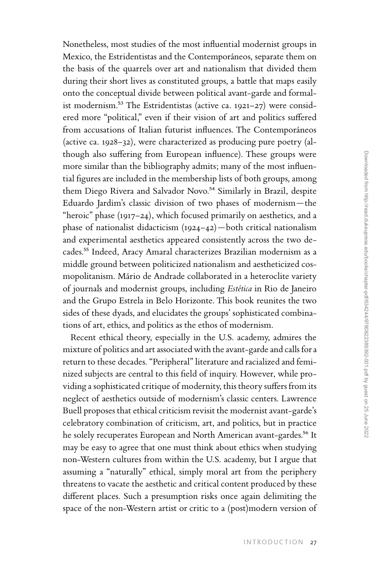Nonetheless, most studies of the most influential modernist groups in Mexico, the Estridentistas and the Contemporáneos, separate them on the basis of the quarrels over art and nationalism that divided them during their short lives as constituted groups, a battle that maps easily onto the conceptual divide between political avant-garde and formalist modernism.53 The Estridentistas (active ca. 1921–27) were considered more "political," even if their vision of art and politics suffered from accusations of Italian futurist influences. The Contemporáneos (active ca. 1928–32), were characterized as producing pure poetry (although also suffering from European influence). These groups were more similar than the bibliography admits; many of the most influential figures are included in the membership lists of both groups, among them Diego Rivera and Salvador Novo.<sup>54</sup> Similarly in Brazil, despite Eduardo Jardim's classic division of two phases of modernism—the "heroic" phase (1917–24), which focused primarily on aesthetics, and a phase of nationalist didacticism (1924–42)—both critical nationalism and experimental aesthetics appeared consistently across the two decades.55 Indeed, Aracy Amaral characterizes Brazilian modernism as a middle ground between politicized nationalism and aestheticized cosmopolitanism. Mário de Andrade collaborated in a heteroclite variety of journals and modernist groups, including *Estética* in Rio de Janeiro and the Grupo Estrela in Belo Horizonte. This book reunites the two sides of these dyads, and elucidates the groups' sophisticated combinations of art, ethics, and politics as the ethos of modernism.

Recent ethical theory, especially in the U.S. academy, admires the mixture of politics and art associated with the avant-garde and calls for a return to these decades. "Peripheral" literature and racialized and feminized subjects are central to this field of inquiry. However, while providing a sophisticated critique of modernity, this theory suffers from its neglect of aesthetics outside of modernism's classic centers. Lawrence Buell proposes that ethical criticism revisit the modernist avant-garde's celebratory combination of criticism, art, and politics, but in practice he solely recuperates European and North American avant-gardes.<sup>56</sup> It may be easy to agree that one must think about ethics when studying non-Western cultures from within the U.S. academy, but I argue that assuming a "naturally" ethical, simply moral art from the periphery threatens to vacate the aesthetic and critical content produced by these different places. Such a presumption risks once again delimiting the space of the non-Western artist or critic to a (post)modern version of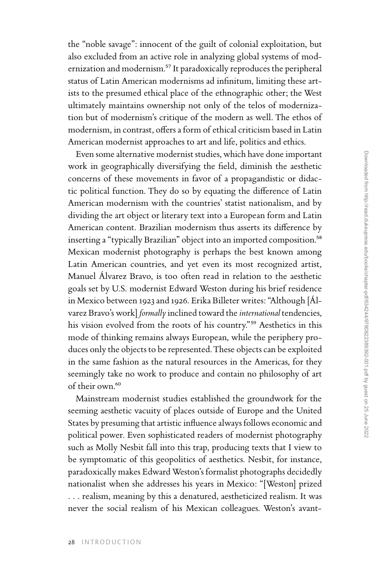the "noble savage": innocent of the guilt of colonial exploitation, but also excluded from an active role in analyzing global systems of modernization and modernism.57 It paradoxically reproduces the peripheral status of Latin American modernisms ad infinitum, limiting these artists to the presumed ethical place of the ethnographic other; the West ultimately maintains ownership not only of the telos of modernization but of modernism's critique of the modern as well. The ethos of modernism, in contrast, offers a form of ethical criticism based in Latin American modernist approaches to art and life, politics and ethics. Even some alternative modernist studies, which have done important

work in geographically diversifying the field, diminish the aesthetic concerns of these movements in favor of a propagandistic or didactic political function. They do so by equating the difference of Latin American modernism with the countries' statist nationalism, and by dividing the art object or literary text into a European form and Latin American content. Brazilian modernism thus asserts its difference by inserting a "typically Brazilian" object into an imported composition.<sup>58</sup> Mexican modernist photography is perhaps the best known among Latin American countries, and yet even its most recognized artist, Manuel Álvarez Bravo, is too often read in relation to the aesthetic goals set by U.S. modernist Edward Weston during his brief residence in Mexico between 1923 and 1926. Erika Billeter writes: "Although [Álvarez Bravo's work] *formally* inclined toward the *international* tendencies, his vision evolved from the roots of his country."59 Aesthetics in this mode of thinking remains always European, while the periphery produces only the objects to be represented. These objects can be exploited in the same fashion as the natural resources in the Americas, for they seemingly take no work to produce and contain no philosophy of art of their own.<sup>60</sup>

Mainstream modernist studies established the groundwork for the seeming aesthetic vacuity of places outside of Europe and the United States by presuming that artistic influence always follows economic and political power. Even sophisticated readers of modernist photography such as Molly Nesbit fall into this trap, producing texts that I view to be symptomatic of this geopolitics of aesthetics. Nesbit, for instance, paradoxically makes Edward Weston's formalist photographs decidedly nationalist when she addresses his years in Mexico: "[Weston] prized . . . realism, meaning by this a denatured, aestheticized realism. It was never the social realism of his Mexican colleagues. Weston's avant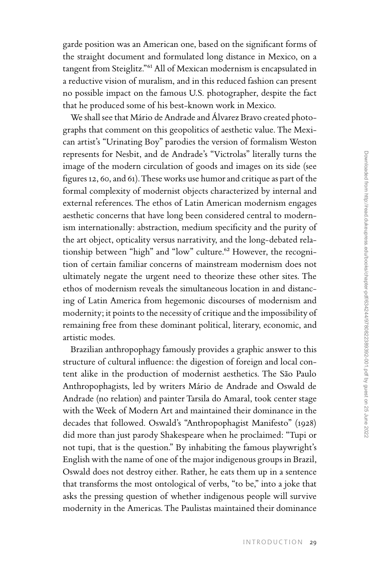garde position was an American one, based on the significant forms of the straight document and formulated long distance in Mexico, on a tangent from Steiglitz."61 All of Mexican modernism is encapsulated in a reductive vision of muralism, and in this reduced fashion can present no possible impact on the famous U.S. photographer, despite the fact that he produced some of his best-known work in Mexico.

We shall see that Mário de Andrade and Álvarez Bravo created photographs that comment on this geopolitics of aesthetic value. The Mexican artist's "Urinating Boy" parodies the version of formalism Weston represents for Nesbit, and de Andrade's "Victrolas" literally turns the image of the modern circulation of goods and images on its side (see figures 12, 60, and 61). These works use humor and critique as part of the formal complexity of modernist objects characterized by internal and external references. The ethos of Latin American modernism engages aesthetic concerns that have long been considered central to modernism internationally: abstraction, medium specificity and the purity of the art object, opticality versus narrativity, and the long-debated relationship between "high" and "low" culture.<sup>62</sup> However, the recognition of certain familiar concerns of mainstream modernism does not ultimately negate the urgent need to theorize these other sites. The ethos of modernism reveals the simultaneous location in and distancing of Latin America from hegemonic discourses of modernism and modernity; it points to the necessity of critique and the impossibility of remaining free from these dominant political, literary, economic, and artistic modes.

Brazilian anthropophagy famously provides a graphic answer to this structure of cultural influence: the digestion of foreign and local content alike in the production of modernist aesthetics. The São Paulo Anthropophagists, led by writers Mário de Andrade and Oswald de Andrade (no relation) and painter Tarsila do Amaral, took center stage with the Week of Modern Art and maintained their dominance in the decades that followed. Oswald's "Anthropophagist Manifesto" (1928) did more than just parody Shakespeare when he proclaimed: "Tupi or not tupi, that is the question." By inhabiting the famous playwright's English with the name of one of the major indigenous groups in Brazil, Oswald does not destroy either. Rather, he eats them up in a sentence that transforms the most ontological of verbs, "to be," into a joke that asks the pressing question of whether indigenous people will survive modernity in the Americas. The Paulistas maintained their dominance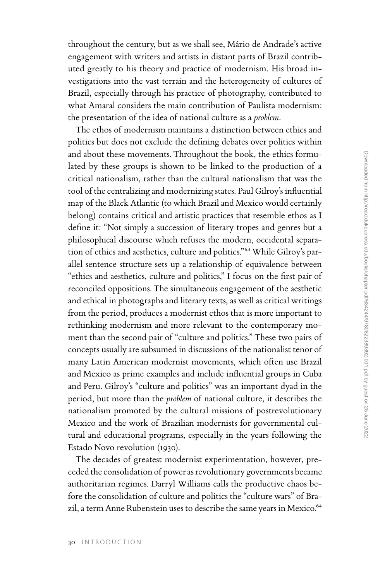throughout the century, but as we shall see, Mário de Andrade's active engagement with writers and artists in distant parts of Brazil contributed greatly to his theory and practice of modernism. His broad investigations into the vast terrain and the heterogeneity of cultures of Brazil, especially through his practice of photography, contributed to what Amaral considers the main contribution of Paulista modernism: the presentation of the idea of national culture as a *problem*.

The ethos of modernism maintains a distinction between ethics and politics but does not exclude the defining debates over politics within and about these movements. Throughout the book, the ethics formulated by these groups is shown to be linked to the production of a critical nationalism, rather than the cultural nationalism that was the tool of the centralizing and modernizing states. Paul Gilroy's influential map of the Black Atlantic (to which Brazil and Mexico would certainly belong) contains critical and artistic practices that resemble ethos as I define it: "Not simply a succession of literary tropes and genres but a philosophical discourse which refuses the modern, occidental separation of ethics and aesthetics, culture and politics."63 While Gilroy's parallel sentence structure sets up a relationship of equivalence between "ethics and aesthetics, culture and politics," I focus on the first pair of reconciled oppositions. The simultaneous engagement of the aesthetic and ethical in photographs and literary texts, as well as critical writings from the period, produces a modernist ethos that is more important to rethinking modernism and more relevant to the contemporary moment than the second pair of "culture and politics." These two pairs of concepts usually are subsumed in discussions of the nationalist tenor of many Latin American modernist movements, which often use Brazil and Mexico as prime examples and include influential groups in Cuba and Peru. Gilroy's "culture and politics" was an important dyad in the period, but more than the *problem* of national culture, it describes the nationalism promoted by the cultural missions of postrevolutionary Mexico and the work of Brazilian modernists for governmental cultural and educational programs, especially in the years following the Estado Novo revolution (1930).

The decades of greatest modernist experimentation, however, preceded the consolidation of power as revolutionary governments became authoritarian regimes. Darryl Williams calls the productive chaos before the consolidation of culture and politics the "culture wars" of Brazil, a term Anne Rubenstein uses to describe the same years in Mexico.<sup>64</sup>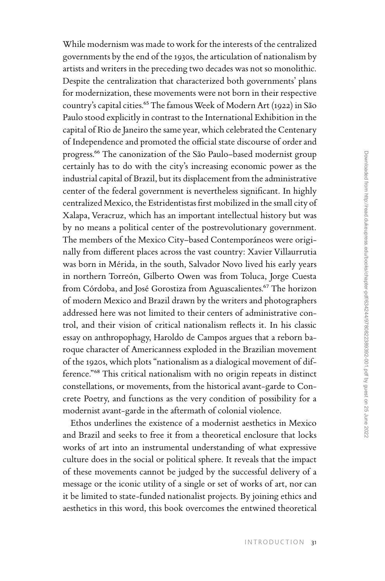While modernism was made to work for the interests of the centralized governments by the end of the 1930s, the articulation of nationalism by artists and writers in the preceding two decades was not so monolithic. Despite the centralization that characterized both governments' plans for modernization, these movements were not born in their respective country's capital cities.65 The famous Week of Modern Art (1922) in São Paulo stood explicitly in contrast to the International Exhibition in the capital of Rio de Janeiro the same year, which celebrated the Centenary of Independence and promoted the official state discourse of order and progress.<sup>66</sup> The canonization of the São Paulo–based modernist group certainly has to do with the city's increasing economic power as the industrial capital of Brazil, but its displacement from the administrative center of the federal government is nevertheless significant. In highly centralized Mexico, the Estridentistas first mobilized in the small city of Xalapa, Veracruz, which has an important intellectual history but was by no means a political center of the postrevolutionary government. The members of the Mexico City–based Contemporáneos were originally from different places across the vast country: Xavier Villaurrutia was born in Mérida, in the south, Salvador Novo lived his early years in northern Torreón, Gilberto Owen was from Toluca, Jorge Cuesta from Córdoba, and José Gorostiza from Aguascalientes.<sup>67</sup> The horizon of modern Mexico and Brazil drawn by the writers and photographers addressed here was not limited to their centers of administrative control, and their vision of critical nationalism reflects it. In his classic essay on anthropophagy, Haroldo de Campos argues that a reborn baroque character of Americanness exploded in the Brazilian movement of the 1920s, which plots "nationalism as a dialogical movement of difference."68 This critical nationalism with no origin repeats in distinct constellations, or movements, from the historical avant-garde to Concrete Poetry, and functions as the very condition of possibility for a modernist avant-garde in the aftermath of colonial violence.

Ethos underlines the existence of a modernist aesthetics in Mexico and Brazil and seeks to free it from a theoretical enclosure that locks works of art into an instrumental understanding of what expressive culture does in the social or political sphere. It reveals that the impact of these movements cannot be judged by the successful delivery of a message or the iconic utility of a single or set of works of art, nor can it be limited to state-funded nationalist projects. By joining ethics and aesthetics in this word, this book overcomes the entwined theoretical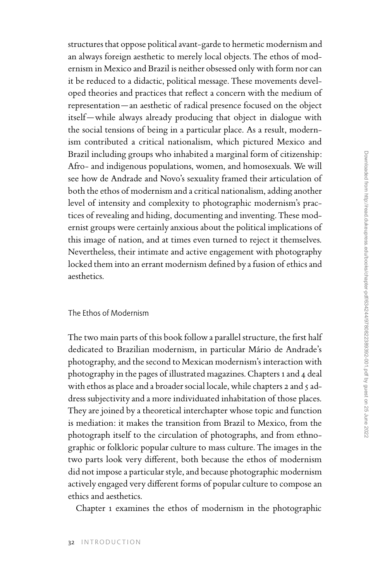structures that oppose political avant-garde to hermetic modernism and an always foreign aesthetic to merely local objects. The ethos of modernism in Mexico and Brazil is neither obsessed only with form nor can it be reduced to a didactic, political message. These movements developed theories and practices that reflect a concern with the medium of representation—an aesthetic of radical presence focused on the object itself—while always already producing that object in dialogue with the social tensions of being in a particular place. As a result, modernism contributed a critical nationalism, which pictured Mexico and Brazil including groups who inhabited a marginal form of citizenship: Afro- and indigenous populations, women, and homosexuals. We will see how de Andrade and Novo's sexuality framed their articulation of both the ethos of modernism and a critical nationalism, adding another level of intensity and complexity to photographic modernism's practices of revealing and hiding, documenting and inventing. These modernist groups were certainly anxious about the political implications of this image of nation, and at times even turned to reject it themselves. Nevertheless, their intimate and active engagement with photography locked them into an errant modernism defined by a fusion of ethics and aesthetics.

## The Ethos of Modernism

The two main parts of this book follow a parallel structure, the first half dedicated to Brazilian modernism, in particular Mário de Andrade's photography, and the second to Mexican modernism's interaction with photography in the pages of illustrated magazines. Chapters 1 and 4 deal with ethos as place and a broader social locale, while chapters 2 and 5 address subjectivity and a more individuated inhabitation of those places. They are joined by a theoretical interchapter whose topic and function is mediation: it makes the transition from Brazil to Mexico, from the photograph itself to the circulation of photographs, and from ethnographic or folkloric popular culture to mass culture. The images in the two parts look very different, both because the ethos of modernism did not impose a particular style, and because photographic modernism actively engaged very different forms of popular culture to compose an ethics and aesthetics.

Chapter 1 examines the ethos of modernism in the photographic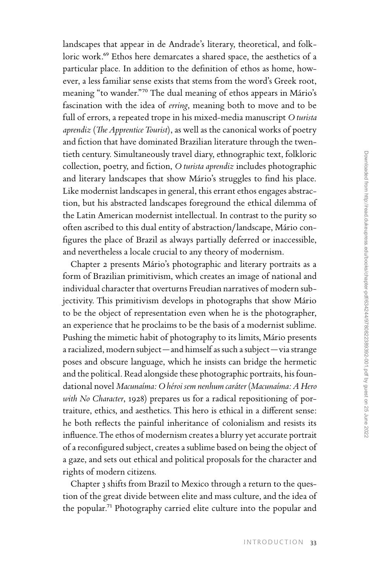landscapes that appear in de Andrade's literary, theoretical, and folkloric work.<sup>69</sup> Ethos here demarcates a shared space, the aesthetics of a particular place. In addition to the definition of ethos as home, however, a less familiar sense exists that stems from the word's Greek root, meaning "to wander."70 The dual meaning of ethos appears in Mário's fascination with the idea of *erring*, meaning both to move and to be full of errors, a repeated trope in his mixed-media manuscript *O turista aprendiz* (*The Apprentice Tourist*), as well as the canonical works of poetry and fiction that have dominated Brazilian literature through the twentieth century. Simultaneously travel diary, ethnographic text, folkloric collection, poetry, and fiction, *O turista aprendiz* includes photographic and literary landscapes that show Mário's struggles to find his place. Like modernist landscapes in general, this errant ethos engages abstraction, but his abstracted landscapes foreground the ethical dilemma of the Latin American modernist intellectual. In contrast to the purity so often ascribed to this dual entity of abstraction/landscape, Mário configures the place of Brazil as always partially deferred or inaccessible, and nevertheless a locale crucial to any theory of modernism.

Chapter 2 presents Mário's photographic and literary portraits as a form of Brazilian primitivism, which creates an image of national and individual character that overturns Freudian narratives of modern subjectivity. This primitivism develops in photographs that show Mário to be the object of representation even when he is the photographer, an experience that he proclaims to be the basis of a modernist sublime. Pushing the mimetic habit of photography to its limits, Mário presents a racialized, modern subject—and himself as such a subject—via strange poses and obscure language, which he insists can bridge the hermetic and the political. Read alongside these photographic portraits, his foundational novel *Macunaíma: O héroi sem nenhum caráter* (*Macunaíma: A Hero with No Character*, 1928) prepares us for a radical repositioning of portraiture, ethics, and aesthetics. This hero is ethical in a different sense: he both reflects the painful inheritance of colonialism and resists its influence. The ethos of modernism creates a blurry yet accurate portrait of a reconfigured subject, creates a sublime based on being the object of a gaze, and sets out ethical and political proposals for the character and rights of modern citizens.

Chapter 3 shifts from Brazil to Mexico through a return to the question of the great divide between elite and mass culture, and the idea of the popular.71 Photography carried elite culture into the popular and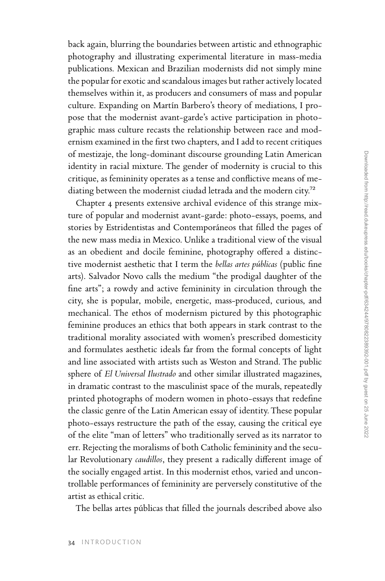back again, blurring the boundaries between artistic and ethnographic photography and illustrating experimental literature in mass-media publications. Mexican and Brazilian modernists did not simply mine the popular for exotic and scandalous images but rather actively located themselves within it, as producers and consumers of mass and popular culture. Expanding on Martín Barbero's theory of mediations, I propose that the modernist avant-garde's active participation in photographic mass culture recasts the relationship between race and modernism examined in the first two chapters, and I add to recent critiques of mestizaje, the long-dominant discourse grounding Latin American identity in racial mixture. The gender of modernity is crucial to this critique, as femininity operates as a tense and conflictive means of mediating between the modernist ciudad letrada and the modern city.72

Chapter 4 presents extensive archival evidence of this strange mixture of popular and modernist avant-garde: photo-essays, poems, and stories by Estridentistas and Contemporáneos that filled the pages of the new mass media in Mexico. Unlike a traditional view of the visual as an obedient and docile feminine, photography offered a distinctive modernist aesthetic that I term the *bellas artes públicas* (public fine arts). Salvador Novo calls the medium "the prodigal daughter of the fine arts"; a rowdy and active femininity in circulation through the city, she is popular, mobile, energetic, mass-produced, curious, and mechanical. The ethos of modernism pictured by this photographic feminine produces an ethics that both appears in stark contrast to the traditional morality associated with women's prescribed domesticity and formulates aesthetic ideals far from the formal concepts of light and line associated with artists such as Weston and Strand. The public sphere of *El Universal Ilustrado* and other similar illustrated magazines, in dramatic contrast to the masculinist space of the murals, repeatedly printed photographs of modern women in photo-essays that redefine the classic genre of the Latin American essay of identity. These popular photo-essays restructure the path of the essay, causing the critical eye of the elite "man of letters" who traditionally served as its narrator to err. Rejecting the moralisms of both Catholic femininity and the secular Revolutionary *caudillos*, they present a radically different image of the socially engaged artist. In this modernist ethos, varied and uncontrollable performances of femininity are perversely constitutive of the artist as ethical critic.

The bellas artes públicas that filled the journals described above also